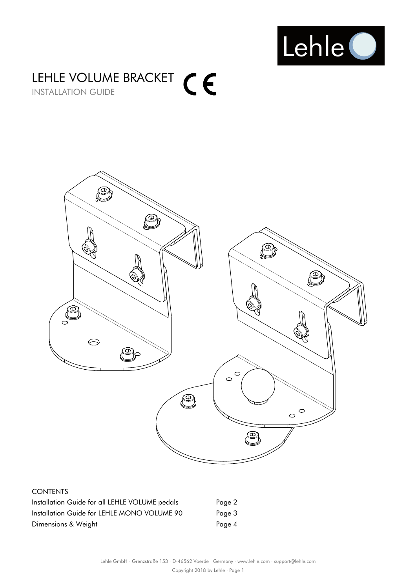

### LEHLE VOLUME BRACKET INSTALLATION GUIDE



#### CONTENTS

| Installation Guide for all LEHLE VOLUME pedals | Page 2 |
|------------------------------------------------|--------|
| Installation Guide for LEHLE MONO VOLUME 90    | Page 3 |
| Dimensions & Weight                            | Page 4 |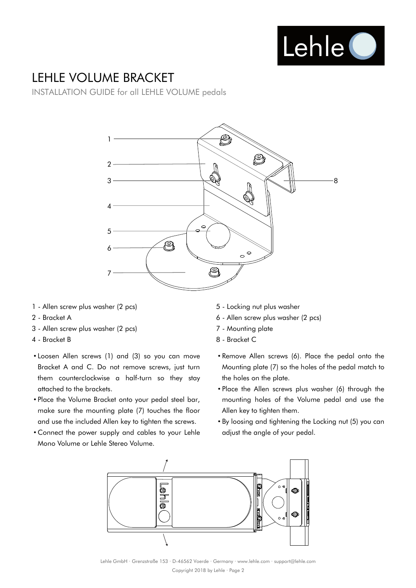

## LEHLE VOLUME BRACKET

INSTALLATION GUIDE for all LEHLE VOLUME pedals



- 1 Allen screw plus washer (2 pcs)
- 2 Bracket A
- 3 Allen screw plus washer (2 pcs)
- 4 Bracket B
- Loosen Allen screws (1) and (3) so you can move Bracket A and C. Do not remove screws, just turn them counterclockwise a half-turn so they stay attached to the brackets.
- Place the Volume Bracket onto your pedal steel bar, make sure the mounting plate (7) touches the floor and use the included Allen key to tighten the screws.
- Connect the power supply and cables to your Lehle Mono Volume or Lehle Stereo Volume.
- 5 Locking nut plus washer
- 6 Allen screw plus washer (2 pcs)
- 7 Mounting plate
- 8 Bracket C
- Remove Allen screws (6). Place the pedal onto the Mounting plate (7) so the holes of the pedal match to the holes on the plate.
- Place the Allen screws plus washer (6) through the mounting holes of the Volume pedal and use the Allen key to tighten them.
- By loosing and tightening the Locking nut (5) you can adjust the angle of your pedal.



Lehle GmbH · Grenzstraße 153 · D-46562 Voerde · Germany · www.lehle.com · support@lehle.com Copyright 2018 by Lehle · Page 2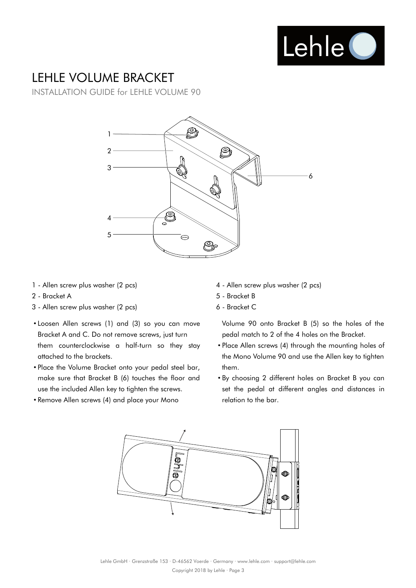

# LEHLE VOLUME BRACKET

INSTALLATION GUIDE for LEHLE VOLUME 90



- 1 Allen screw plus washer (2 pcs)
- 2 Bracket A
- 3 Allen screw plus washer (2 pcs)
- Loosen Allen screws (1) and (3) so you can move Bracket A and C. Do not remove screws, just turn them counterclockwise a half-turn so they stay attached to the brackets.
- Place the Volume Bracket onto your pedal steel bar, make sure that Bracket B (6) touches the floor and use the included Allen key to tighten the screws.
- Remove Allen screws (4) and place your Mono
- 4 Allen screw plus washer (2 pcs)
- 5 Bracket B
- 6 Bracket C

Volume 90 onto Bracket B (5) so the holes of the pedal match to 2 of the 4 holes on the Bracket.

- Place Allen screws (4) through the mounting holes of the Mono Volume 90 and use the Allen key to tighten them.
- By choosing 2 different holes on Bracket B you can set the pedal at different angles and distances in relation to the bar.